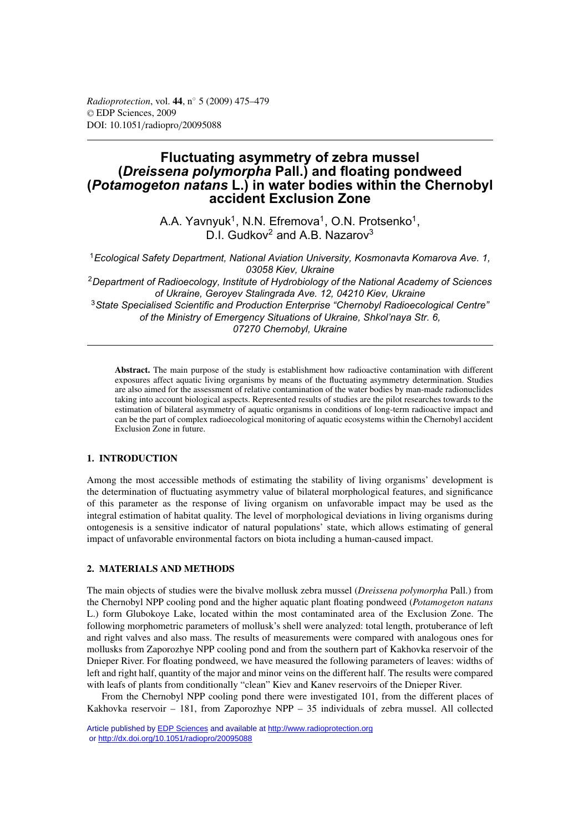# **Fluctuating asymmetry of zebra mussel (***Dreissena polymorpha* **Pall.) and floating pondweed (***Potamogeton natans* **L.) in water bodies within the Chernobyl accident Exclusion Zone**

A.A. Yavnyuk<sup>1</sup>, N.N. Efremova<sup>1</sup>, O.N. Protsenko<sup>1</sup>,  $D.I.$  Gudkov<sup>2</sup> and A.B. Nazarov<sup>3</sup>

<sup>1</sup>*Ecological Safety Department, National Aviation University, Kosmonavta Komarova Ave. 1, 03058 Kiev, Ukraine* <sup>2</sup>*Department of Radioecology, Institute of Hydrobiology of the National Academy of Sciences of Ukraine, Geroyev Stalingrada Ave. 12, 04210 Kiev, Ukraine* <sup>3</sup>*State Specialised Scientific and Production Enterprise "Chernobyl Radioecological Centre" of the Ministry of Emergency Situations of Ukraine, Shkol'naya Str. 6, 07270 Chernobyl, Ukraine*

**Abstract.** The main purpose of the study is establishment how radioactive contamination with different exposures affect aquatic living organisms by means of the fluctuating asymmetry determination. Studies are also aimed for the assessment of relative contamination of the water bodies by man-made radionuclides taking into account biological aspects. Represented results of studies are the pilot researches towards to the estimation of bilateral asymmetry of aquatic organisms in conditions of long-term radioactive impact and can be the part of complex radioecological monitoring of aquatic ecosystems within the Chernobyl accident Exclusion Zone in future.

# **1. INTRODUCTION**

Among the most accessible methods of estimating the stability of living organisms' development is the determination of fluctuating asymmetry value of bilateral morphological features, and significance of this parameter as the response of living organism on unfavorable impact may be used as the integral estimation of habitat quality. The level of morphological deviations in living organisms during ontogenesis is a sensitive indicator of natural populations' state, which allows estimating of general impact of unfavorable environmental factors on biota including a human-caused impact.

## **2. MATERIALS AND METHODS**

The main objects of studies were the bivalve mollusk zebra mussel (*Dreissena polymorpha* Pall.) from the Chernobyl NPP cooling pond and the higher aquatic plant floating pondweed (*Potamogeton natans* L.) form Glubokoye Lake, located within the most contaminated area of the Exclusion Zone. The following morphometric parameters of mollusk's shell were analyzed: total length, protuberance of left and right valves and also mass. The results of measurements were compared with analogous ones for mollusks from Zaporozhye NPP cooling pond and from the southern part of Kakhovka reservoir of the Dnieper River. For floating pondweed, we have measured the following parameters of leaves: widths of left and right half, quantity of the major and minor veins on the different half. The results were compared with leafs of plants from conditionally "clean" Kiev and Kanev reservoirs of the Dnieper River.

From the Chernobyl NPP cooling pond there were investigated 101, from the different places of Kakhovka reservoir – 181, from Zaporozhye NPP – 35 individuals of zebra mussel. All collected

Article published by **EDP** Sciences and available at<http://www.radioprotection.org> or <http://dx.doi.org/10.1051/radiopro/20095088>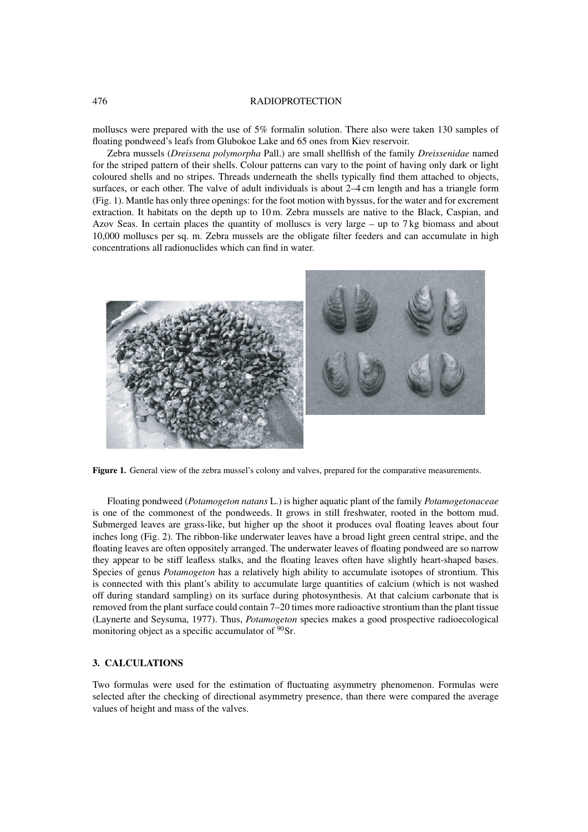#### 476 RADIOPROTECTION

molluscs were prepared with the use of 5% formalin solution. There also were taken 130 samples of floating pondweed's leafs from Glubokoe Lake and 65 ones from Kiev reservoir.

Zebra mussels (*Dreissena polymorpha* Pall.) are small shellfish of the family *Dreissenidae* named for the striped pattern of their shells. Colour patterns can vary to the point of having only dark or light coloured shells and no stripes. Threads underneath the shells typically find them attached to objects, surfaces, or each other. The valve of adult individuals is about 2–4 cm length and has a triangle form (Fig. 1). Mantle has only three openings: for the foot motion with byssus, for the water and for excrement extraction. It habitats on the depth up to 10 m. Zebra mussels are native to the Black, Caspian, and Azov Seas. In certain places the quantity of molluscs is very large – up to 7 kg biomass and about 10,000 molluscs per sq. m. Zebra mussels are the obligate filter feeders and can accumulate in high concentrations all radionuclides which can find in water.



**Figure 1.** General view of the zebra mussel's colony and valves, prepared for the comparative measurements.

Floating pondweed (*Potamogeton natans* L.) is higher aquatic plant of the family *Potamogetonaceae* is one of the commonest of the pondweeds. It grows in still freshwater, rooted in the bottom mud. Submerged leaves are grass-like, but higher up the shoot it produces oval floating leaves about four inches long (Fig. 2). The ribbon-like underwater leaves have a broad light green central stripe, and the floating leaves are often oppositely arranged. The underwater leaves of floating pondweed are so narrow they appear to be stiff leafless stalks, and the floating leaves often have slightly heart-shaped bases. Species of genus *Potamogeton* has a relatively high ability to accumulate isotopes of strontium. This is connected with this plant's ability to accumulate large quantities of calcium (which is not washed off during standard sampling) on its surface during photosynthesis. At that calcium carbonate that is removed from the plant surface could contain 7–20 times more radioactive strontium than the plant tissue (Laynerte and Seysuma, 1977). Thus, *Potamogeton* species makes a good prospective radioecological monitoring object as a specific accumulator of <sup>90</sup>Sr.

# **3. CALCULATIONS**

Two formulas were used for the estimation of fluctuating asymmetry phenomenon. Formulas were selected after the checking of directional asymmetry presence, than there were compared the average values of height and mass of the valves.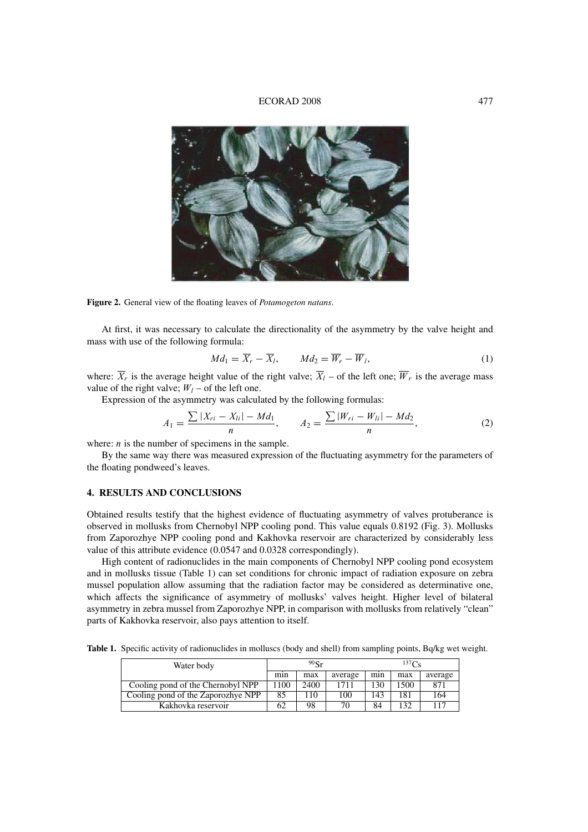## ECORAD 2008 477



**Figure 2.** General view of the floating leaves of *Potamogeton natans*.

At first, it was necessary to calculate the directionality of the asymmetry by the valve height and mass with use of the following formula:

$$
Md_1 = \overline{X}_r - \overline{X}_l, \qquad Md_2 = \overline{W}_r - \overline{W}_l,
$$
\n(1)

where:  $\overline{X_r}$  is the average height value of the right valve;  $\overline{X_l}$  – of the left one;  $\overline{W_r}$  is the average mass value of the right valve;  $W_l$  – of the left one.

Expression of the asymmetry was calculated by the following formulas:

$$
A_1 = \frac{\sum |X_{ri} - X_{li}| - Md_1}{n}, \qquad A_2 = \frac{\sum |W_{ri} - W_{li}| - Md_2}{n}, \tag{2}
$$

where:  $n$  is the number of specimens in the sample.

By the same way there was measured expression of the fluctuating asymmetry for the parameters of the floating pondweed's leaves.

# **4. RESULTS AND CONCLUSIONS**

Obtained results testify that the highest evidence of fluctuating asymmetry of valves protuberance is observed in mollusks from Chernobyl NPP cooling pond. This value equals 0.8192 (Fig. 3). Mollusks from Zaporozhye NPP cooling pond and Kakhovka reservoir are characterized by considerably less value of this attribute evidence (0.0547 and 0.0328 correspondingly).

High content of radionuclides in the main components of Chernobyl NPP cooling pond ecosystem and in mollusks tissue (Table 1) can set conditions for chronic impact of radiation exposure on zebra mussel population allow assuming that the radiation factor may be considered as determinative one, which affects the significance of asymmetry of mollusks' valves height. Higher level of bilateral asymmetry in zebra mussel from Zaporozhye NPP, in comparison with mollusks from relatively "clean" parts of Kakhovka reservoir, also pays attention to itself.

**Table 1.** Specific activity of radionuclides in molluscs (body and shell) from sampling points, Bq/kg wet weight.

| Water body                         | 90 <sub>r</sub> |      |         | 137C <sub>e</sub> |      |         |
|------------------------------------|-----------------|------|---------|-------------------|------|---------|
|                                    | min             | max  | average | min               | max  | average |
| Cooling pond of the Chernobyl NPP  | l 100           | 2400 | 1711    | 130               | 1500 | 871     |
| Cooling pond of the Zaporozhye NPP | 85              | 110  | 100     | 143               | 181  | 164     |
| Kakhovka reservoir                 | 62              | 98   | 70      | 84                | 132  | 117     |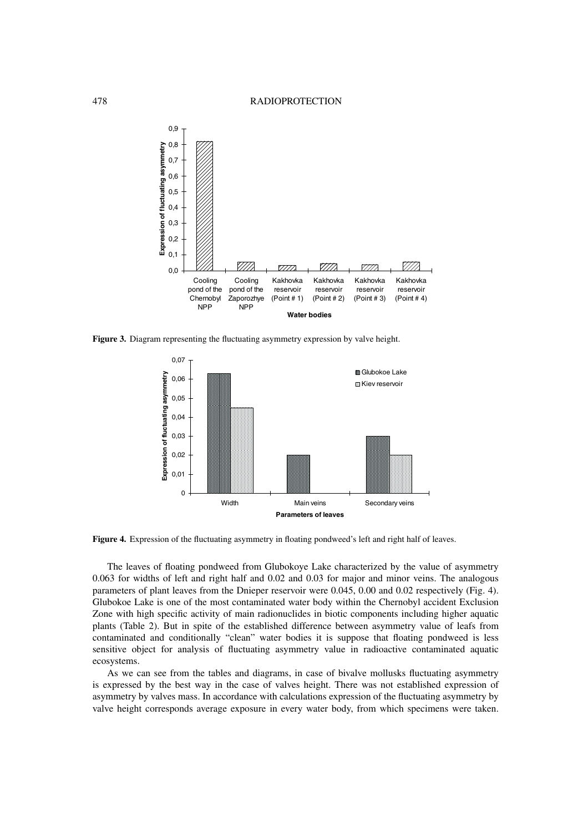

**Figure 3.** Diagram representing the fluctuating asymmetry expression by valve height.



Figure 4. Expression of the fluctuating asymmetry in floating pondweed's left and right half of leaves.

The leaves of floating pondweed from Glubokoye Lake characterized by the value of asymmetry 0.063 for widths of left and right half and 0.02 and 0.03 for major and minor veins. The analogous parameters of plant leaves from the Dnieper reservoir were 0.045, 0.00 and 0.02 respectively (Fig. 4). Glubokoe Lake is one of the most contaminated water body within the Chernobyl accident Exclusion Zone with high specific activity of main radionuclides in biotic components including higher aquatic plants (Table 2). But in spite of the established difference between asymmetry value of leafs from contaminated and conditionally "clean" water bodies it is suppose that floating pondweed is less sensitive object for analysis of fluctuating asymmetry value in radioactive contaminated aquatic ecosystems.

As we can see from the tables and diagrams, in case of bivalve mollusks fluctuating asymmetry is expressed by the best way in the case of valves height. There was not established expression of asymmetry by valves mass. In accordance with calculations expression of the fluctuating asymmetry by valve height corresponds average exposure in every water body, from which specimens were taken.